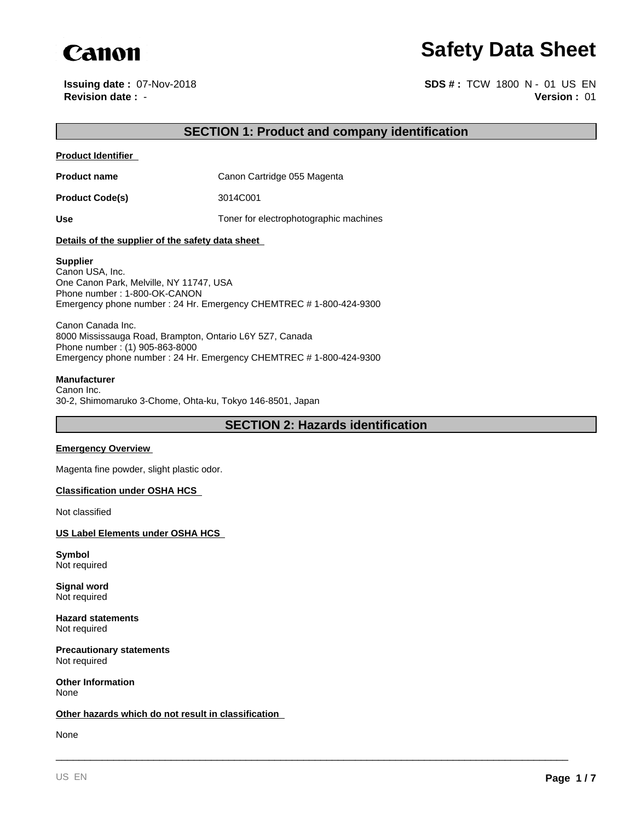

**Issuing date :** 07-Nov-2018

**Canon**<br> **Revision date : 07-Nov-2018**<br> **Revision date : - Safety Data Sheet**<br> **Revision date : - SDS**# : TCW 1800 N - 01 US EN<br> **Version : 01 Version :** 01 **SDS # :** TCW 1800 N - 01 US EN

## **SECTION 1: Product and company identification**

**Product Identifier** 

**Product name** Canon Cartridge 055 Magenta

**Product Code(s)** 3014C001

Use Use **Use** Toner for electrophotographic machines

#### **Details of the supplier of the safety data sheet**

#### **Supplier**

Canon USA, Inc. One Canon Park, Melville, NY 11747, USA Phone number : 1-800-OK-CANON Emergency phone number : 24 Hr. Emergency CHEMTREC # 1-800-424-9300

Canon Canada Inc. 8000 Mississauga Road, Brampton, Ontario L6Y 5Z7, Canada Phone number : (1) 905-863-8000 Emergency phone number : 24 Hr. Emergency CHEMTREC # 1-800-424-9300

#### **Manufacturer**

Canon Inc. 30-2, Shimomaruko 3-Chome, Ohta-ku, Tokyo 146-8501, Japan

**SECTION 2: Hazards identification**

\_\_\_\_\_\_\_\_\_\_\_\_\_\_\_\_\_\_\_\_\_\_\_\_\_\_\_\_\_\_\_\_\_\_\_\_\_\_\_\_\_\_\_\_\_\_\_\_\_\_\_\_\_\_\_\_\_\_\_\_\_\_\_\_\_\_\_\_\_\_\_\_\_\_\_\_\_\_\_\_\_\_\_\_\_\_\_\_\_

#### **Emergency Overview**

Magenta fine powder, slight plastic odor.

#### **Classification under OSHA HCS**

Not classified

#### **US Label Elements under OSHA HCS**

**Symbol** Not required

**Signal word** Not required

**Hazard statements** Not required

**Precautionary statements** Not required

**Other Information** None

#### **Other hazards which do not result in classification**

None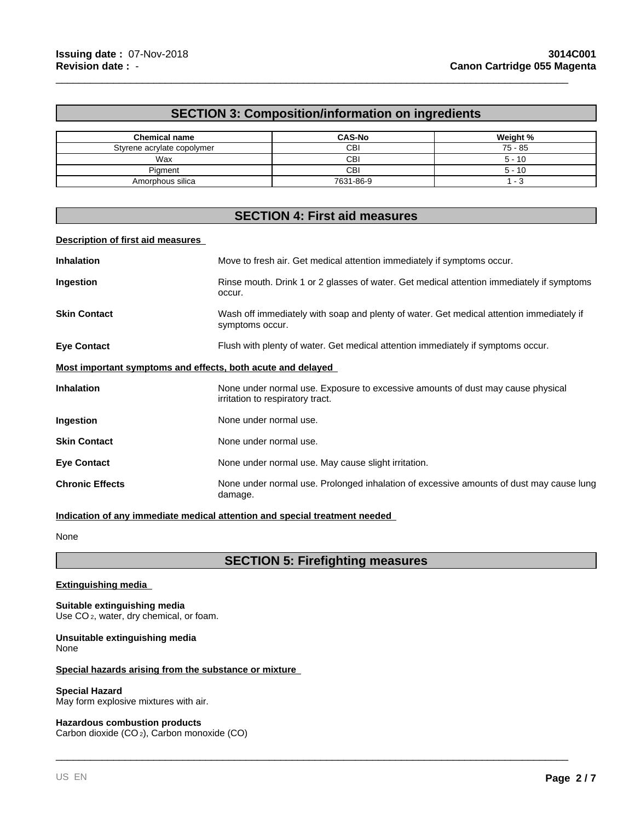## **SECTION 3: Composition/information on ingredients**

\_\_\_\_\_\_\_\_\_\_\_\_\_\_\_\_\_\_\_\_\_\_\_\_\_\_\_\_\_\_\_\_\_\_\_\_\_\_\_\_\_\_\_\_\_\_\_\_\_\_\_\_\_\_\_\_\_\_\_\_\_\_\_\_\_\_\_\_\_\_\_\_\_\_\_\_\_\_\_\_\_\_\_\_\_\_\_\_\_

| <b>Chemical name</b>       | <b>CAS-No</b> | Weight %  |
|----------------------------|---------------|-----------|
| Styrene acrylate copolymer | CBI           | $75 - 85$ |
| Wax                        | CBI           | $5 - 10$  |
| Piament                    | CBI           | $5 - 10$  |
| Amorphous silica           | 7631-86-9     |           |

## **SECTION 4: First aid measures**

#### **Description of first aid measures**

| <b>Inhalation</b>                                           | Move to fresh air. Get medical attention immediately if symptoms occur.                                             |
|-------------------------------------------------------------|---------------------------------------------------------------------------------------------------------------------|
| Ingestion                                                   | Rinse mouth. Drink 1 or 2 glasses of water. Get medical attention immediately if symptoms<br>occur.                 |
| <b>Skin Contact</b>                                         | Wash off immediately with soap and plenty of water. Get medical attention immediately if<br>symptoms occur.         |
| <b>Eye Contact</b>                                          | Flush with plenty of water. Get medical attention immediately if symptoms occur.                                    |
| Most important symptoms and effects, both acute and delayed |                                                                                                                     |
| <b>Inhalation</b>                                           | None under normal use. Exposure to excessive amounts of dust may cause physical<br>irritation to respiratory tract. |
| Ingestion                                                   | None under normal use.                                                                                              |
| <b>Skin Contact</b>                                         | None under normal use.                                                                                              |
| <b>Eye Contact</b>                                          | None under normal use. May cause slight irritation.                                                                 |
| <b>Chronic Effects</b>                                      | None under normal use. Prolonged inhalation of excessive amounts of dust may cause lung<br>damage.                  |

#### **Indication of any immediate medical attention and special treatment needed**

None

## **SECTION 5: Firefighting measures**

\_\_\_\_\_\_\_\_\_\_\_\_\_\_\_\_\_\_\_\_\_\_\_\_\_\_\_\_\_\_\_\_\_\_\_\_\_\_\_\_\_\_\_\_\_\_\_\_\_\_\_\_\_\_\_\_\_\_\_\_\_\_\_\_\_\_\_\_\_\_\_\_\_\_\_\_\_\_\_\_\_\_\_\_\_\_\_\_\_

#### **Extinguishing media**

**Suitable extinguishing media** Use CO<sub>2</sub>, water, dry chemical, or foam.

#### **Unsuitable extinguishing media** None

#### **Special hazards arising from the substance or mixture**

#### **Special Hazard**

May form explosive mixtures with air.

#### **Hazardous combustion products**

Carbon dioxide (CO 2), Carbon monoxide (CO)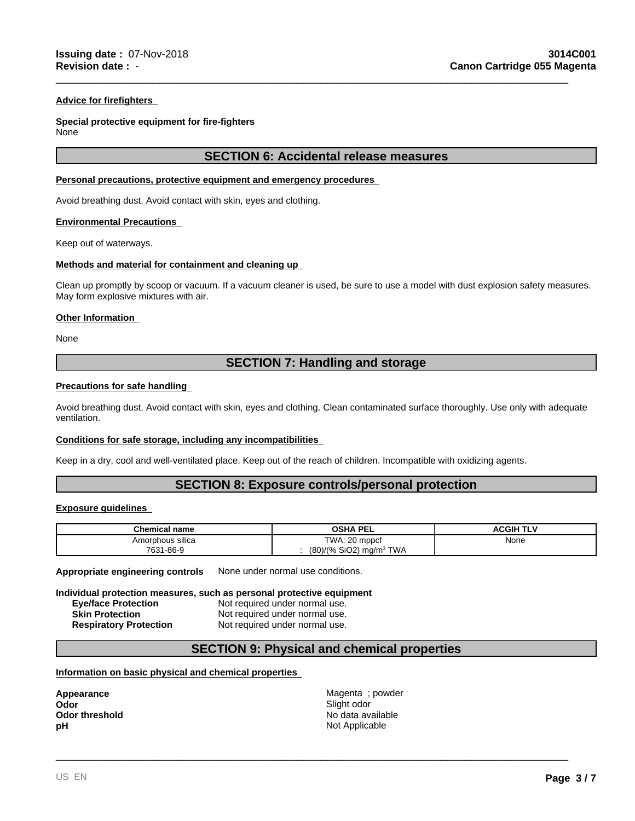#### **Advice for firefighters**

## **Special protective equipment for fire-fighters**

None

## **SECTION 6: Accidental release measures**

\_\_\_\_\_\_\_\_\_\_\_\_\_\_\_\_\_\_\_\_\_\_\_\_\_\_\_\_\_\_\_\_\_\_\_\_\_\_\_\_\_\_\_\_\_\_\_\_\_\_\_\_\_\_\_\_\_\_\_\_\_\_\_\_\_\_\_\_\_\_\_\_\_\_\_\_\_\_\_\_\_\_\_\_\_\_\_\_\_

#### **Personal precautions, protective equipment and emergency procedures**

Avoid breathing dust. Avoid contact with skin, eyes and clothing.

#### **Environmental Precautions**

Keep out of waterways.

#### **Methods and material for containment and cleaning up**

Clean up promptly by scoop or vacuum. If a vacuum cleaner is used, be sure to use a model with dust explosion safety measures. May form explosive mixtures with air.

#### **Other Information**

None

## **SECTION 7: Handling and storage**

#### **Precautions for safe handling**

Avoid breathing dust. Avoid contact with skin, eyes and clothing. Clean contaminated surface thoroughly. Use only with adequate ventilation.

#### **Conditions for safe storage, including any incompatibilities**

Keep in a dry, cool and well-ventilated place. Keep out of the reach of children. Incompatible with oxidizing agents.

## **SECTION 8: Exposure controls/personal protection**

#### **Exposure guidelines**

| <b>Chemical name</b> | OSHA PEL                                        | <b>ACGIH TLV</b> |
|----------------------|-------------------------------------------------|------------------|
| Amorphous silica     | TWA: 20 mppcf                                   | None             |
| 7631-86-9            | (80)/(% SiO2) mg/m <sup>3</sup> 1<br><b>TWA</b> |                  |

**Appropriate engineering controls** None under normal use conditions.

#### **Individual protection measures, such as personal protective equipment**

| <b>Eye/face Protection</b>    | Not required under normal use. |
|-------------------------------|--------------------------------|
| <b>Skin Protection</b>        | Not required under normal use. |
| <b>Respiratory Protection</b> | Not required under normal use. |

### **SECTION 9: Physical and chemical properties**

#### **Information on basic physical and chemical properties**

**Odor** Slight odor **pH** Not Applicable

**Appearance** Magenta ; powder **Odor threshold No data available No data available** 

\_\_\_\_\_\_\_\_\_\_\_\_\_\_\_\_\_\_\_\_\_\_\_\_\_\_\_\_\_\_\_\_\_\_\_\_\_\_\_\_\_\_\_\_\_\_\_\_\_\_\_\_\_\_\_\_\_\_\_\_\_\_\_\_\_\_\_\_\_\_\_\_\_\_\_\_\_\_\_\_\_\_\_\_\_\_\_\_\_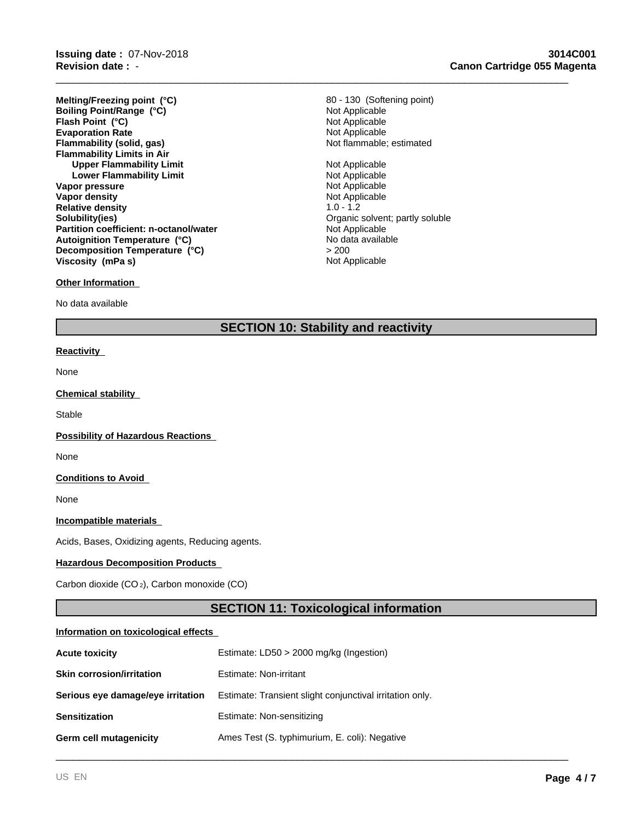**Revision date :** - **Issuing date :** 07-Nov-2018

**Evaporation Rate**<br> **Example:** Not Applicable<br> **Elammability (solid, gas)**<br> **Example:** Not flammable; estimated **Flammability (solid, gas) Flammability Limits in Air Upper Flammability Limit** Not Applicable **Lower Flammability Limit Not Applicable**<br> **Not Applicable**<br>
Not Applicable **Vapor pressure**<br> **Vapor density**<br> **Vapor density**<br> **Vapor density Vapor density** Not Applicable Not Applicable Not Applicable Not Applicable Not Applicable Not Applicable Not Applicable Not Applicable Not Applicable Not Applicable Not Applicable Not Applicable Not Applicable Not Applica **Relative density**<br>Solubility(ies) **Partition coefficient: n-octanol/water** Not Applicable Not Applicable<br> **Autoignition Temperature (°C)** No data available **Flash Point (°C)** Not Applicable **Melting/Freezing point (°C) Autoignition Temperature (°C) Decomposition Temperature (°C) Boiling Point/Range (°C) Viscosity (mPa s)**

# Not Applicable 80 - 130 (Softening point)

\_\_\_\_\_\_\_\_\_\_\_\_\_\_\_\_\_\_\_\_\_\_\_\_\_\_\_\_\_\_\_\_\_\_\_\_\_\_\_\_\_\_\_\_\_\_\_\_\_\_\_\_\_\_\_\_\_\_\_\_\_\_\_\_\_\_\_\_\_\_\_\_\_\_\_\_\_\_\_\_\_\_\_\_\_\_\_\_\_

Organic solvent; partly soluble<br>Not Applicable  $> 200$ Not Applicable

#### **Other Information**

No data available

## **SECTION 10: Stability and reactivity**

#### **Reactivity**

None

#### **Chemical stability**

**Stable** 

#### **Possibility of Hazardous Reactions**

None

#### **Conditions to Avoid**

None

#### **Incompatible materials**

Acids, Bases, Oxidizing agents, Reducing agents.

#### **Hazardous Decomposition Products**

Carbon dioxide (CO 2), Carbon monoxide (CO)

## **SECTION 11: Toxicological information**

\_\_\_\_\_\_\_\_\_\_\_\_\_\_\_\_\_\_\_\_\_\_\_\_\_\_\_\_\_\_\_\_\_\_\_\_\_\_\_\_\_\_\_\_\_\_\_\_\_\_\_\_\_\_\_\_\_\_\_\_\_\_\_\_\_\_\_\_\_\_\_\_\_\_\_\_\_\_\_\_\_\_\_\_\_\_\_\_\_

#### **Information on toxicological effects**

| <b>Acute toxicity</b>             | Estimate: LD50 > 2000 mg/kg (Ingestion)                  |
|-----------------------------------|----------------------------------------------------------|
| <b>Skin corrosion/irritation</b>  | Estimate: Non-irritant                                   |
| Serious eye damage/eye irritation | Estimate: Transient slight conjunctival irritation only. |
| <b>Sensitization</b>              | Estimate: Non-sensitizing                                |
| Germ cell mutagenicity            | Ames Test (S. typhimurium, E. coli): Negative            |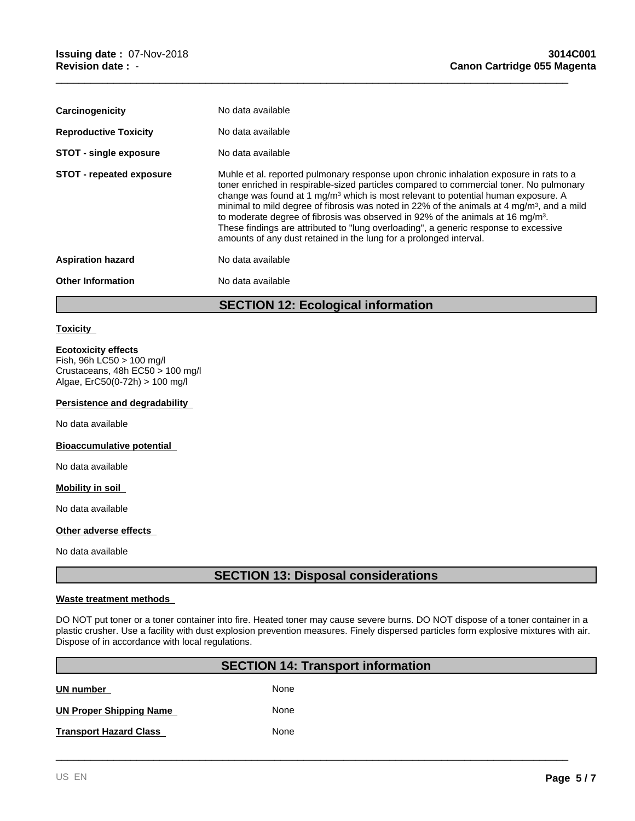| No data available<br><b>Reproductive Toxicity</b>                                                                                                                                                                                                                                                                                                                                                                                                                                                                                                                                                                                                                                            |  |
|----------------------------------------------------------------------------------------------------------------------------------------------------------------------------------------------------------------------------------------------------------------------------------------------------------------------------------------------------------------------------------------------------------------------------------------------------------------------------------------------------------------------------------------------------------------------------------------------------------------------------------------------------------------------------------------------|--|
| <b>STOT - single exposure</b><br>No data available                                                                                                                                                                                                                                                                                                                                                                                                                                                                                                                                                                                                                                           |  |
| Muhle et al. reported pulmonary response upon chronic inhalation exposure in rats to a<br><b>STOT - repeated exposure</b><br>toner enriched in respirable-sized particles compared to commercial toner. No pulmonary<br>change was found at 1 mg/m <sup>3</sup> which is most relevant to potential human exposure. A<br>minimal to mild degree of fibrosis was noted in 22% of the animals at 4 mg/m <sup>3</sup> , and a mild<br>to moderate degree of fibrosis was observed in 92% of the animals at 16 mg/m <sup>3</sup> .<br>These findings are attributed to "lung overloading", a generic response to excessive<br>amounts of any dust retained in the lung for a prolonged interval. |  |
| No data available<br><b>Aspiration hazard</b>                                                                                                                                                                                                                                                                                                                                                                                                                                                                                                                                                                                                                                                |  |
| No data available<br><b>Other Information</b>                                                                                                                                                                                                                                                                                                                                                                                                                                                                                                                                                                                                                                                |  |

**SECTION 12: Ecological information**

\_\_\_\_\_\_\_\_\_\_\_\_\_\_\_\_\_\_\_\_\_\_\_\_\_\_\_\_\_\_\_\_\_\_\_\_\_\_\_\_\_\_\_\_\_\_\_\_\_\_\_\_\_\_\_\_\_\_\_\_\_\_\_\_\_\_\_\_\_\_\_\_\_\_\_\_\_\_\_\_\_\_\_\_\_\_\_\_\_

#### **Toxicity**

#### **Ecotoxicity effects**

Fish, 96h LC50 > 100 mg/l Crustaceans, 48h EC50 > 100 mg/l Algae, ErC50(0-72h) > 100 mg/l

#### **Persistence and degradability**

No data available

#### **Bioaccumulative potential**

No data available

#### **Mobility in soil**

No data available

#### **Other adverse effects**

No data available

## **SECTION 13: Disposal considerations**

#### **Waste treatment methods**

DO NOT put toner or a toner container into fire. Heated toner may cause severe burns. DO NOT dispose of a toner container in a plastic crusher. Use a facility with dust explosion prevention measures. Finely dispersed particles form explosive mixtures with air. Dispose of in accordance with local regulations.

| <b>SECTION 14: Transport information</b> |      |  |
|------------------------------------------|------|--|
| UN number                                | None |  |
| <b>UN Proper Shipping Name</b>           | None |  |
| <b>Transport Hazard Class</b>            | None |  |

\_\_\_\_\_\_\_\_\_\_\_\_\_\_\_\_\_\_\_\_\_\_\_\_\_\_\_\_\_\_\_\_\_\_\_\_\_\_\_\_\_\_\_\_\_\_\_\_\_\_\_\_\_\_\_\_\_\_\_\_\_\_\_\_\_\_\_\_\_\_\_\_\_\_\_\_\_\_\_\_\_\_\_\_\_\_\_\_\_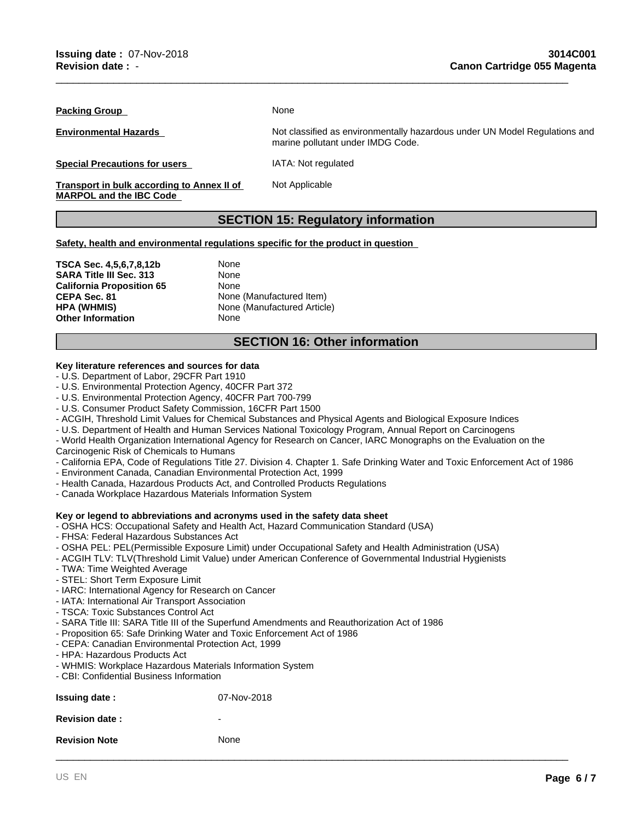**Packing Group** 

**Environmental Hazards** 

**Special Precautions for users** 

**Transport in bulk according to Annex II of MARPOL and the IBC Code** 

None

Not classified as environmentally hazardous under UN Model Regulations and marine pollutant under IMDG Code.

IATA: Not regulated

Not Applicable

## **SECTION 15: Regulatory information**

\_\_\_\_\_\_\_\_\_\_\_\_\_\_\_\_\_\_\_\_\_\_\_\_\_\_\_\_\_\_\_\_\_\_\_\_\_\_\_\_\_\_\_\_\_\_\_\_\_\_\_\_\_\_\_\_\_\_\_\_\_\_\_\_\_\_\_\_\_\_\_\_\_\_\_\_\_\_\_\_\_\_\_\_\_\_\_\_\_

**Safety, health and environmental regulations specific for the product in question** 

**TSCA Sec. 4,5,6,7,8,12b** None **SARA Title III Sec. 313** None **California Proposition 65** None<br> **CEPA Sec. 81** None **CEPA Sec. 81** None (Manufactured Item)<br> **HPA (WHMIS)** None (Manufactured Article **Other Information** None

**None (Manufactured Article)** 

## **SECTION 16: Other information**

## **Key literature references and sources for data**

- U.S. Department of Labor, 29CFR Part 1910
- U.S. Environmental Protection Agency, 40CFR Part 372
- U.S. Environmental Protection Agency, 40CFR Part 700-799
- U.S. Consumer Product Safety Commission, 16CFR Part 1500
- ACGIH, Threshold Limit Values for Chemical Substances and Physical Agents and Biological Exposure Indices
- U.S. Department of Health and Human Services National Toxicology Program, Annual Report on Carcinogens
- World Health Organization International Agency for Research on Cancer, IARC Monographs on the Evaluation on the Carcinogenic Risk of Chemicals to Humans
- California EPA, Code of Regulations Title 27. Division 4. Chapter 1. Safe Drinking Water and Toxic Enforcement Act of 1986

\_\_\_\_\_\_\_\_\_\_\_\_\_\_\_\_\_\_\_\_\_\_\_\_\_\_\_\_\_\_\_\_\_\_\_\_\_\_\_\_\_\_\_\_\_\_\_\_\_\_\_\_\_\_\_\_\_\_\_\_\_\_\_\_\_\_\_\_\_\_\_\_\_\_\_\_\_\_\_\_\_\_\_\_\_\_\_\_\_

- Environment Canada, Canadian Environmental Protection Act, 1999
- Health Canada, Hazardous Products Act, and Controlled Products Regulations
- Canada Workplace Hazardous Materials Information System

### **Key or legend to abbreviations and acronyms used in the safety data sheet**

- OSHA HCS: Occupational Safety and Health Act, Hazard Communication Standard (USA)
- FHSA: Federal Hazardous Substances Act
- OSHA PEL: PEL(Permissible Exposure Limit) under Occupational Safety and Health Administration (USA)
- ACGIH TLV: TLV(Threshold Limit Value) under American Conference of Governmental Industrial Hygienists
- TWA: Time Weighted Average
- STEL: Short Term Exposure Limit
- IARC: International Agency for Research on Cancer
- IATA: International Air Transport Association
- TSCA: Toxic Substances Control Act
- SARA Title III: SARA Title III of the Superfund Amendments and Reauthorization Act of 1986
- Proposition 65: Safe Drinking Water and Toxic Enforcement Act of 1986
- CEPA: Canadian Environmental Protection Act, 1999
- HPA: Hazardous Products Act
- WHMIS: Workplace Hazardous Materials Information System
- CBI: Confidential Business Information

| <b>Issuing date:</b>  | 07-Nov-2018 |
|-----------------------|-------------|
| <b>Revision date:</b> | -           |
| <b>Revision Note</b>  | None        |